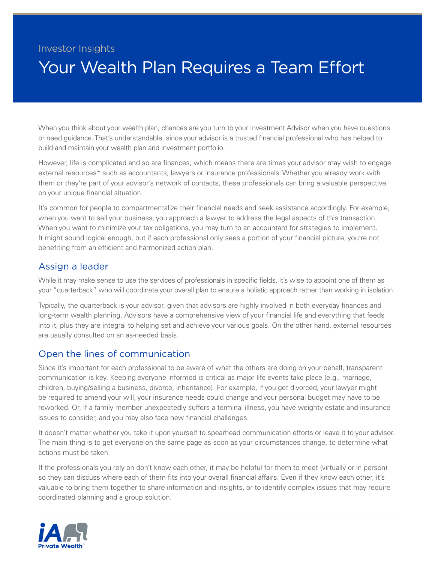## Investor Insights Your Wealth Plan Requires a Team Effort

When you think about your wealth plan, chances are you turn to your Investment Advisor when you have questions or need guidance. That's understandable, since your advisor is a trusted financial professional who has helped to build and maintain your wealth plan and investment portfolio.

However, life is complicated and so are finances, which means there are times your advisor may wish to engage external resources\* such as accountants, lawyers or insurance professionals. Whether you already work with them or they're part of your advisor's network of contacts, these professionals can bring a valuable perspective on your unique financial situation.

It's common for people to compartmentalize their financial needs and seek assistance accordingly. For example, when you want to sell your business, you approach a lawyer to address the legal aspects of this transaction. When you want to minimize your tax obligations, you may turn to an accountant for strategies to implement. It might sound logical enough, but if each professional only sees a portion of your financial picture, you're not benefiting from an efficient and harmonized action plan.

## Assign a leader

While it may make sense to use the services of professionals in specific fields, it's wise to appoint one of them as your "quarterback" who will coordinate your overall plan to ensure a holistic approach rather than working in isolation.

Typically, the quarterback is your advisor, given that advisors are highly involved in both everyday finances and long-term wealth planning. Advisors have a comprehensive view of your financial life and everything that feeds into it, plus they are integral to helping set and achieve your various goals. On the other hand, external resources are usually consulted on an as-needed basis.

## Open the lines of communication

Since it's important for each professional to be aware of what the others are doing on your behalf, transparent communication is key. Keeping everyone informed is critical as major life events take place (e.g., marriage, children, buying/selling a business, divorce, inheritance). For example, if you get divorced, your lawyer might be required to amend your will, your insurance needs could change and your personal budget may have to be reworked. Or, if a family member unexpectedly suffers a terminal illness, you have weighty estate and insurance issues to consider, and you may also face new financial challenges.

It doesn't matter whether you take it upon yourself to spearhead communication efforts or leave it to your advisor. The main thing is to get everyone on the same page as soon as your circumstances change, to determine what actions must be taken.

If the professionals you rely on don't know each other, it may be helpful for them to meet (virtually or in person) so they can discuss where each of them fits into your overall financial affairs. Even if they know each other, it's valuable to bring them together to share information and insights, or to identify complex issues that may require coordinated planning and a group solution.